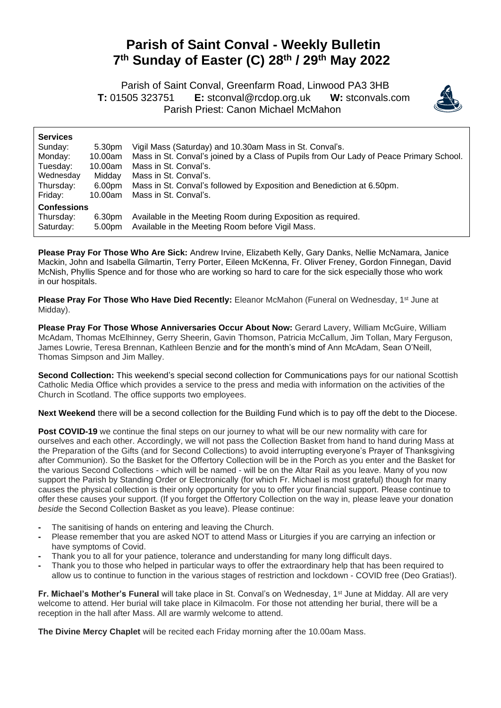## **Parish of Saint Conval - Weekly Bulletin 7 th Sunday of Easter (C) 28 th / 29 th May 2022**

 Parish of Saint Conval, Greenfarm Road, Linwood PA3 3HB **T:** 01505 323751 **E:** [stconval@rcdop.org.uk](mailto:stconval@rcdop.org.uk) **W:** stconvals.com Parish Priest: Canon Michael McMahon



| <b>Services</b>    |                    |                                                                                         |
|--------------------|--------------------|-----------------------------------------------------------------------------------------|
| Sunday:            | 5.30pm             | Vigil Mass (Saturday) and 10.30am Mass in St. Conval's.                                 |
| Monday:            | 10.00am            | Mass in St. Conval's joined by a Class of Pupils from Our Lady of Peace Primary School. |
| Tuesday:           | 10.00am            | Mass in St. Conval's.                                                                   |
| Wednesday          | Midday             | Mass in St. Conval's.                                                                   |
| Thursday:          | 6.00pm             | Mass in St. Conval's followed by Exposition and Benediction at 6.50pm.                  |
| Friday:            | 10.00am            | Mass in St. Conval's.                                                                   |
| <b>Confessions</b> |                    |                                                                                         |
| Thursday:          | 6.30pm             | Available in the Meeting Room during Exposition as required.                            |
| Saturday:          | 5.00 <sub>pm</sub> | Available in the Meeting Room before Vigil Mass.                                        |
|                    |                    |                                                                                         |

**Please Pray For Those Who Are Sick:** Andrew Irvine, Elizabeth Kelly, Gary Danks, Nellie McNamara, Janice Mackin, John and Isabella Gilmartin, Terry Porter, Eileen McKenna, Fr. Oliver Freney, Gordon Finnegan, David McNish, Phyllis Spence and for those who are working so hard to care for the sick especially those who work in our hospitals.

**Please Pray For Those Who Have Died Recently:** Eleanor McMahon (Funeral on Wednesday, 1<sup>st</sup> June at Midday).

**Please Pray For Those Whose Anniversaries Occur About Now:** Gerard Lavery, William McGuire, William McAdam, Thomas McElhinney, Gerry Sheerin, Gavin Thomson, Patricia McCallum, Jim Tollan, Mary Ferguson, James Lowrie, Teresa Brennan, Kathleen Benzie and for the month's mind of Ann McAdam, Sean O'Neill, Thomas Simpson and Jim Malley.

**Second Collection:** This weekend's special second collection for Communications pays for our national Scottish Catholic Media Office which provides a service to the press and media with information on the activities of the Church in Scotland. The office supports two employees.

**Next Weekend** there will be a second collection for the Building Fund which is to pay off the debt to the Diocese.

**Post COVID-19** we continue the final steps on our journey to what will be our new normality with care for ourselves and each other. Accordingly, we will not pass the Collection Basket from hand to hand during Mass at the Preparation of the Gifts (and for Second Collections) to avoid interrupting everyone's Prayer of Thanksgiving after Communion). So the Basket for the Offertory Collection will be in the Porch as you enter and the Basket for the various Second Collections - which will be named - will be on the Altar Rail as you leave. Many of you now support the Parish by Standing Order or Electronically (for which Fr. Michael is most grateful) though for many causes the physical collection is their only opportunity for you to offer your financial support. Please continue to offer these causes your support. (If you forget the Offertory Collection on the way in, please leave your donation *beside* the Second Collection Basket as you leave). Please continue:

- **-** The sanitising of hands on entering and leaving the Church.
- **-** Please remember that you are asked NOT to attend Mass or Liturgies if you are carrying an infection or have symptoms of Covid.
- **-** Thank you to all for your patience, tolerance and understanding for many long difficult days.
- **-** Thank you to those who helped in particular ways to offer the extraordinary help that has been required to allow us to continue to function in the various stages of restriction and lockdown - COVID free (Deo Gratias!).

**Fr. Michael's Mother's Funeral** will take place in St. Conval's on Wednesday, 1<sup>st</sup> June at Midday. All are very welcome to attend. Her burial will take place in Kilmacolm. For those not attending her burial, there will be a reception in the hall after Mass. All are warmly welcome to attend.

**The Divine Mercy Chaplet** will be recited each Friday morning after the 10.00am Mass.